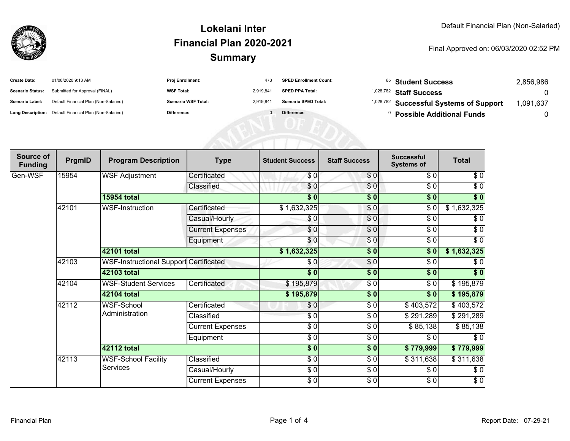

#### **SummaryLokelani InterFinancial Plan 2020-2021**

#### Final Approved on: 06/03/2020 02:52 PM

| <b>Create Date:</b>     | 01/08/2020 9:13 AM                                      | <b>Proj Enrollment:</b>    | 473       | <b>SPED Enrollment Count:</b> | <sup>65</sup> Student Success                      | 2.856.986 |
|-------------------------|---------------------------------------------------------|----------------------------|-----------|-------------------------------|----------------------------------------------------|-----------|
| <b>Scenario Status:</b> | Submitted for Approval (FINAL)                          | <b>WSF Total:</b>          | 2.919.841 | <b>SPED PPA Total:</b>        | <sup>1,028,782</sup> Staff Success                 |           |
| <b>Scenario Label:</b>  | Default Financial Plan (Non-Salaried)                   | <b>Scenario WSF Total:</b> | 2.919.84  | <b>Scenario SPED Total:</b>   | <sup>1,028,782</sup> Successful Systems of Support | .091,637  |
|                         | Long Description: Default Financial Plan (Non-Salaried) | Difference:                |           | Difference:                   | <b>Possible Additional Funds</b>                   |           |

| Source of<br><b>Funding</b> | PrgmID | <b>Program Description</b>                    | <b>Type</b>             | <b>Student Success</b> | <b>Staff Success</b> | <b>Successful</b><br><b>Systems of</b> | <b>Total</b>      |
|-----------------------------|--------|-----------------------------------------------|-------------------------|------------------------|----------------------|----------------------------------------|-------------------|
| Gen-WSF                     | 15954  | <b>WSF Adjustment</b>                         | Certificated            | \$0                    | \$0                  | \$0                                    | \$0               |
|                             |        |                                               | Classified              | \$0                    | \$0                  | \$0                                    | \$0               |
|                             |        | <b>15954 total</b>                            |                         | $\overline{\$0}$       | $\overline{\$0}$     | $\frac{1}{2}$                          | $\overline{\$}$ 0 |
|                             | 42101  | <b>WSF-Instruction</b>                        | Certificated            | \$1,632,325            | \$0                  | $\sqrt{6}$                             | \$1,632,325       |
|                             |        |                                               | Casual/Hourly           | \$0                    | \$0                  | $\sqrt{6}$                             | \$0               |
|                             |        |                                               | <b>Current Expenses</b> | \$0                    | $\frac{6}{6}$        | $\sqrt{6}$                             | $\sqrt{6}$        |
|                             |        |                                               | Equipment               | \$0                    | $\frac{6}{6}$        | $\sqrt{6}$                             | $\sqrt{6}$        |
|                             |        | 42101 total                                   |                         | \$1,632,325            | $\frac{1}{6}$        | \$0                                    | \$1,632,325       |
|                             | 42103  | WSF-Instructional Support Certificated        |                         | \$0                    | $\frac{6}{9}$        | $\sqrt{6}$                             | \$0               |
|                             |        | 42103 total                                   |                         | $\sqrt{6}$             | $\frac{1}{6}$        | $\frac{1}{2}$                          | $\sqrt[6]{}$      |
|                             | 42104  | <b>WSF-Student Services</b>                   | Certificated            | \$195,879              | $\frac{3}{6}$        | $\sqrt{6}$                             | \$195,879         |
|                             |        | 42104 total                                   |                         | \$195,879              | $\frac{1}{6}$        | $\overline{\bullet}$                   | \$195,879         |
|                             | 42112  | WSF-School<br>Administration                  | Certificated            | \$0                    | \$0                  | \$403,572                              | \$403,572         |
|                             |        |                                               | Classified              | $\sqrt{6}$             | $\frac{3}{6}$        | \$291,289                              | \$291,289         |
|                             |        |                                               | <b>Current Expenses</b> | $\sqrt{6}$             | $\frac{3}{6}$        | \$85,138                               | \$85,138          |
|                             |        |                                               | Equipment               | $\sqrt{6}$             | $\frac{3}{6}$        | \$0                                    | $\sqrt{6}$        |
|                             |        | 42112 total                                   |                         | \$0                    | $\frac{1}{6}$        | \$779,999                              | \$779,999         |
|                             | 42113  | <b>WSF-School Facility</b><br><b>Services</b> | Classified              | $\sqrt{6}$             | $\frac{3}{2}$        | \$311,638                              | \$311,638         |
|                             |        |                                               | Casual/Hourly           | $\sqrt{6}$             | \$0                  | \$0                                    | $\sqrt{6}$        |
|                             |        |                                               | <b>Current Expenses</b> | $\frac{6}{6}$          | $\sqrt{6}$           | $\sqrt{6}$                             | $\sqrt{6}$        |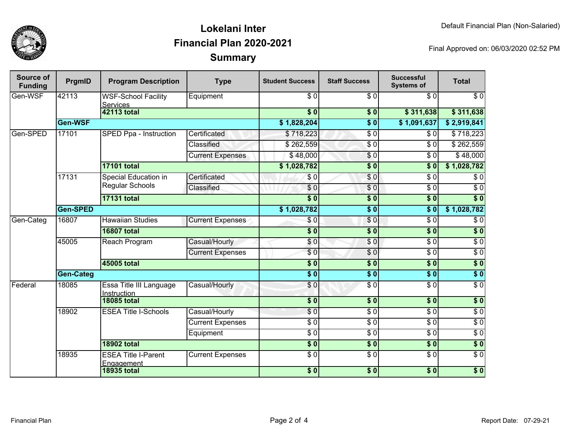

### **SummaryLokelani InterFinancial Plan 2020-2021**

Final Approved on: 06/03/2020 02:52 PM

| Source of<br><b>Funding</b> | PrgmID             | <b>Program Description</b>                    | <b>Type</b>             | <b>Student Success</b>    | <b>Staff Success</b> | <b>Successful</b><br><b>Systems of</b> | <b>Total</b>     |
|-----------------------------|--------------------|-----------------------------------------------|-------------------------|---------------------------|----------------------|----------------------------------------|------------------|
| Gen-WSF                     | 42113              | <b>WSF-School Facility</b><br><b>Services</b> | Equipment               | \$0                       | $\overline{\$0}$     | \$0                                    | $\overline{\$0}$ |
|                             | <b>42113 total</b> |                                               | $\overline{\$0}$        | \$0                       | \$311,638            | \$311,638                              |                  |
|                             | Gen-WSF            |                                               |                         | \$1,828,204               | $\overline{\$0}$     | \$1,091,637                            | \$2,919,841      |
| Gen-SPED                    | 17101              | SPED Ppa - Instruction                        | Certificated            | \$718,223                 | $\overline{\$0}$     | \$0                                    | \$718,223        |
|                             |                    |                                               | Classified              | \$262,559                 | $\overline{\$0}$     | \$0                                    | \$262,559        |
|                             |                    |                                               | <b>Current Expenses</b> | \$48,000                  | \$0                  | $\overline{\$0}$                       | \$48,000         |
|                             |                    | <b>17101 total</b>                            |                         | \$1,028,782               | $\overline{\$0}$     | \$0                                    | \$1,028,782      |
|                             | 17131              | Special Education in<br>Regular Schools       | Certificated            | \$0                       | \$0                  | $\overline{\$0}$                       | $\overline{\$0}$ |
|                             |                    |                                               | Classified              | \$0                       | $\overline{\$0}$     | $\overline{\$0}$                       | \$0              |
|                             |                    | <b>17131 total</b>                            |                         | $\overline{\textbf{S}^0}$ | $\overline{\$0}$     | 30                                     | $\overline{\$0}$ |
|                             | <b>Gen-SPED</b>    |                                               |                         | \$1,028,782               | $\overline{\$0}$     | $\overline{\textbf{S}^0}$              | \$1,028,782      |
| Gen-Categ                   | 16807              | <b>Hawaiian Studies</b>                       | <b>Current Expenses</b> | \$0                       | $\sqrt{6}$           | $\overline{\$0}$                       | $\overline{\$0}$ |
|                             |                    | <b>16807 total</b>                            |                         | $\overline{\textbf{S}^0}$ | $\overline{\$0}$     | $\overline{\textbf{S}^0}$              | $\overline{\$0}$ |
|                             | 45005              | Reach Program                                 | Casual/Hourly           | $\overline{\$0}$          | $\sqrt{0}$           | $\overline{\$0}$                       | $\overline{\$0}$ |
|                             |                    |                                               | <b>Current Expenses</b> | $\overline{\$0}$          | $\overline{\$0}$     | $\overline{\$0}$                       | $\overline{\$0}$ |
|                             |                    | <b>45005 total</b>                            |                         | $\overline{\$0}$          | $\overline{\$0}$     | $\overline{\$0}$                       | $\overline{\$0}$ |
|                             | <b>Gen-Categ</b>   |                                               |                         | $\overline{\$0}$          | $\overline{\$0}$     | $\overline{\$0}$                       | $\overline{\$0}$ |
| <b>Federal</b>              | 18085              | <b>Essa Title III Language</b><br>Instruction | Casual/Hourly           | $\overline{\$0}$          | $\overline{\$0}$     | $\overline{\$0}$                       | $\overline{30}$  |
|                             |                    | <b>18085 total</b>                            |                         | $\overline{\bullet}$      | $\overline{\bullet}$ | $\overline{\$0}$                       | $\sqrt{6}$       |
|                             | 18902              | <b>ESEA Title I-Schools</b>                   | Casual/Hourly           | \$0                       | $\overline{\$0}$     | $\overline{60}$                        | $\overline{60}$  |
|                             |                    |                                               | <b>Current Expenses</b> | $\overline{\frac{6}{9}}$  | $\sqrt{6}$           | $\sqrt{6}$                             | $\overline{50}$  |
|                             |                    |                                               | Equipment               | \$0                       | $\sqrt{6}$           | $\sqrt{6}$                             | $\sqrt{6}$       |
|                             |                    | <b>18902 total</b>                            |                         | $\overline{\$0}$          | $\overline{\$0}$     | $\overline{\$0}$                       | $\overline{\$0}$ |
|                             | 18935              | <b>ESEA Title I-Parent</b><br>Engagement      | <b>Current Expenses</b> | $\overline{50}$           | $\sqrt{6}$           | $\overline{60}$                        | $\sqrt{6}$       |
|                             |                    | <b>18935 total</b>                            |                         | $\overline{\$0}$          | $\overline{\$0}$     | $\overline{\$0}$                       | $\overline{\$0}$ |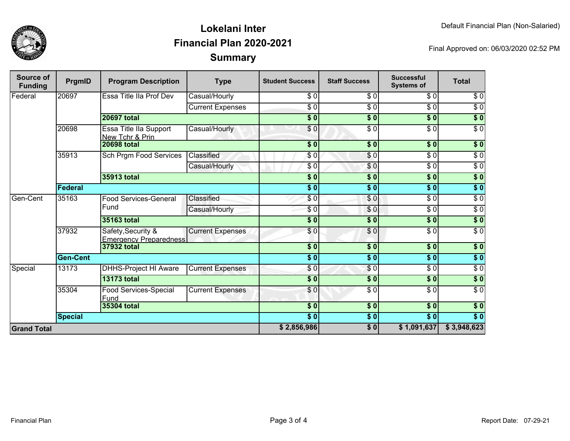

## **SummaryLokelani InterFinancial Plan 2020-2021**

Final Approved on: 06/03/2020 02:52 PM

| Source of<br><b>Funding</b> | PrgmID          | <b>Program Description</b>                          | <b>Type</b>             | <b>Student Success</b>    | <b>Staff Success</b> | <b>Successful</b><br><b>Systems of</b> | <b>Total</b>     |
|-----------------------------|-----------------|-----------------------------------------------------|-------------------------|---------------------------|----------------------|----------------------------------------|------------------|
| Federal                     | 20697           | Essa Title IIa Prof Dev                             | Casual/Hourly           | \$0                       | $\overline{\$0}$     | $\sqrt{6}$                             | \$0              |
|                             |                 |                                                     | <b>Current Expenses</b> | $\frac{3}{6}$             | $\overline{\$0}$     | $\sqrt{6}$                             | $\sqrt{6}$       |
|                             |                 | <b>20697 total</b>                                  |                         | $\overline{\$0}$          | $\sqrt{6}$           | $\overline{\$0}$                       | $\overline{\$0}$ |
|                             | 20698           | Essa Title IIa Support<br>New Tchr & Prin           | Casual/Hourly           | \$0                       | $\overline{\$0}$     | \$0                                    | $\sqrt{6}$       |
|                             |                 | <b>20698 total</b>                                  |                         | \$0                       | \$0                  | s <sub>0</sub>                         | \$0              |
|                             | 35913           | Sch Prgm Food Services                              | Classified              | \$0                       | \$0                  | $\overline{\$0}$                       | $\overline{\$0}$ |
|                             |                 |                                                     | Casual/Hourly           | \$0                       | \$0                  | $\sqrt{6}$                             | $\overline{\$0}$ |
|                             |                 | 35913 total                                         |                         | \$0                       | \$0                  | \$0                                    | $\sqrt{6}$       |
|                             | <b>Federal</b>  |                                                     |                         | $\frac{1}{6}$             | $\overline{\$0}$     | $\overline{\$0}$                       | $\overline{\$0}$ |
| Gen-Cent                    | 35163           | <b>Food Services-General</b><br>Fund                | Classified              | \$0                       | \$0                  | $\overline{\$0}$                       | $\sqrt{6}$       |
|                             |                 |                                                     | Casual/Hourly           | \$0                       | \$0                  | $\overline{\$0}$                       | $\overline{\$0}$ |
|                             |                 | 35163 total                                         |                         | $\overline{\textbf{S}^0}$ | $\overline{\$0}$     | s <sub>0</sub>                         | $\sqrt{6}$       |
|                             | 37932           | Safety, Security &<br><b>Emergency Preparedness</b> | <b>Current Expenses</b> | \$0                       | \$0                  | $\overline{\$0}$                       | $\sqrt{6}$       |
|                             |                 | 37932 total                                         |                         | \$0                       | \$0                  | \$0                                    | \$0              |
|                             | <b>Gen-Cent</b> |                                                     |                         | \$0                       | \$0                  | \$0                                    | \$0              |
| Special                     | 13173           | <b>DHHS-Project HI Aware</b>                        | <b>Current Expenses</b> | \$0                       | $\frac{6}{3}$        | \$0                                    | $\sqrt{6}$       |
|                             |                 | <b>13173 total</b>                                  |                         | $\frac{1}{6}$             | $\frac{1}{2}$        | \$0                                    | \$0              |
|                             | 35304           | Food Services-Special<br>Fund                       | <b>Current Expenses</b> | \$0                       | $\sqrt{6}$           | $\sqrt{6}$                             | $\overline{30}$  |
|                             |                 | 35304 total                                         |                         | $\overline{\$0}$          | $\sqrt{6}$           | $\overline{\$0}$                       | $\overline{\$0}$ |
|                             | <b>Special</b>  |                                                     |                         | $s$ <sub>0</sub>          | $\frac{1}{2}$        | $\overline{\$0}$                       | $\overline{\$0}$ |
| <b>Grand Total</b>          |                 |                                                     |                         |                           | $\overline{\$0}$     | \$1,091,637                            | \$3,948,623      |